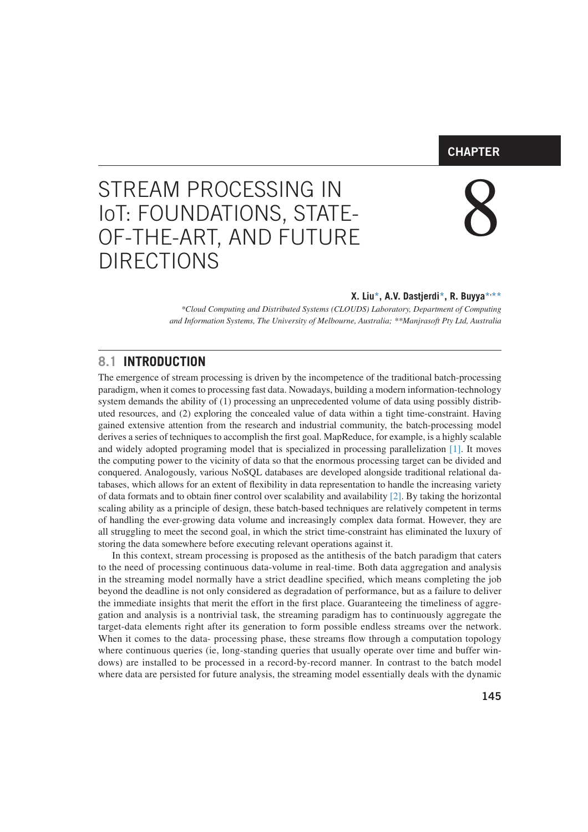## **CHAPTER**

# STREAM PROCESSING IN IoT: FOUNDATIONS, STATE-OF-THE-ART, AND FUTURE **DIRECTIONS**

#### X. Liu\*, A.V. Dastjerdi\*, R. Buyya\*<sup>\*\*\*</sup>

\*Cloud Computing and Distributed Systems (CLOUDS) Laboratory, Department of Computing and Information Systems, The University of Melbourne, Australia; \*\*Manjrasoft Pty Ltd, Australia

#### **8.1 INTRODUCTION**

The emergence of stream processing is driven by the incompetence of the traditional batch-processing paradigm, when it comes to processing fast data. Nowadays, building a modern information-technology system demands the ability of (1) processing an unprecedented volume of data using possibly distributed resources, and (2) exploring the concealed value of data within a tight time-constraint. Having gained extensive attention from the research and industrial community, the batch-processing model derives a series of techniques to accomplish the first goal. MapReduce, for example, is a highly scalable and widely adopted programing model that is specialized in processing parallelization [1]. It moves the computing power to the vicinity of data so that the enormous processing target can be divided and conquered. Analogously, various NoSQL databases are developed alongside traditional relational databases, which allows for an extent of flexibility in data representation to handle the increasing variety of data formats and to obtain finer control over scalability and availability [2]. By taking the horizontal scaling ability as a principle of design, these batch-based techniques are relatively competent in terms of handling the ever-growing data volume and increasingly complex data format. However, they are all struggling to meet the second goal, in which the strict time-constraint has eliminated the luxury of storing the data somewhere before executing relevant operations against it.

In this context, stream processing is proposed as the antithesis of the batch paradigm that caters to the need of processing continuous data-volume in real-time. Both data aggregation and analysis in the streaming model normally have a strict deadline specified, which means completing the job beyond the deadline is not only considered as degradation of performance, but as a failure to deliver the immediate insights that merit the effort in the first place. Guaranteeing the timeliness of aggregation and analysis is a nontrivial task, the streaming paradigm has to continuously aggregate the target-data elements right after its generation to form possible endless streams over the network. When it comes to the data- processing phase, these streams flow through a computation topology where continuous queries (ie, long-standing queries that usually operate over time and buffer windows) are installed to be processed in a record-by-record manner. In contrast to the batch model where data are persisted for future analysis, the streaming model essentially deals with the dynamic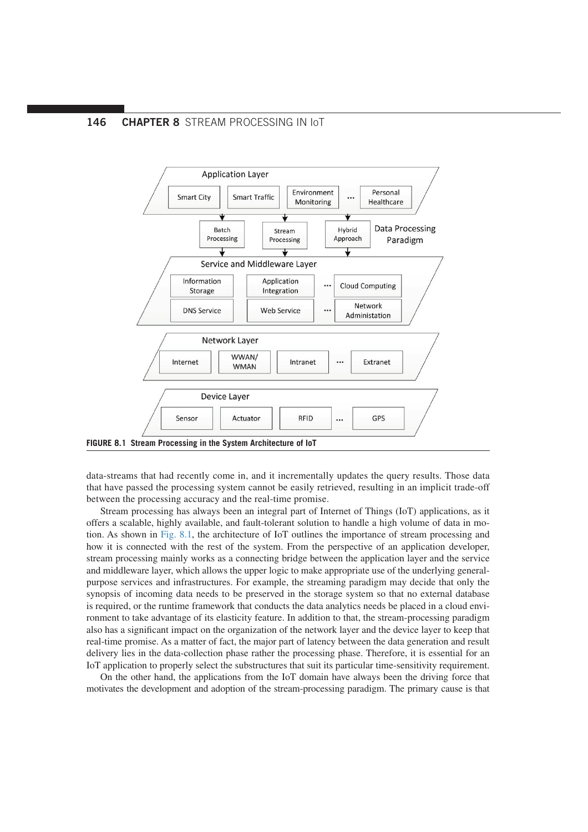

data-streams that had recently come in, and it incrementally updates the query results. Those data that have passed the processing system cannot be easily retrieved, resulting in an implicit trade-off between the processing accuracy and the real-time promise.

Stream processing has always been an integral part of Internet of Things (IoT) applications, as it offers a scalable, highly available, and fault-tolerant solution to handle a high volume of data in motion. As shown in Fig. 8.1, the architecture of IoT outlines the importance of stream processing and how it is connected with the rest of the system. From the perspective of an application developer, stream processing mainly works as a connecting bridge between the application layer and the service and middleware layer, which allows the upper logic to make appropriate use of the underlying generalpurpose services and infrastructures. For example, the streaming paradigm may decide that only the synopsis of incoming data needs to be preserved in the storage system so that no external database is required, or the runtime framework that conducts the data analytics needs be placed in a cloud environment to take advantage of its elasticity feature. In addition to that, the stream-processing paradigm also has a significant impact on the organization of the network layer and the device layer to keep that real-time promise. As a matter of fact, the major part of latency between the data generation and result delivery lies in the data-collection phase rather the processing phase. Therefore, it is essential for an IoT application to properly select the substructures that suit its particular time-sensitivity requirement.

On the other hand, the applications from the IoT domain have always been the driving force that motivates the development and adoption of the stream-processing paradigm. The primary cause is that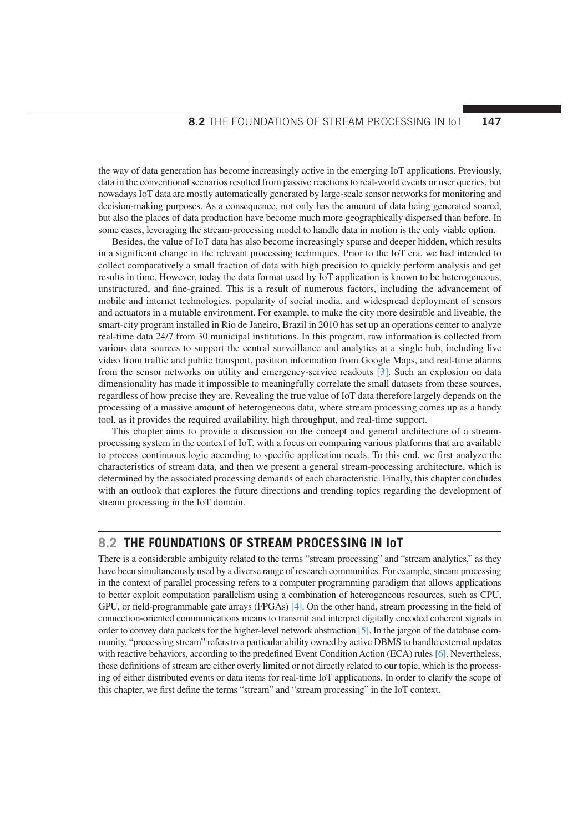the way of data generation has become increasingly active in the emerging IoT applications. Previously, data in the conventional scenarios resulted from passive reactions to real-world events or user queries, but nowadays IoT data are mostly automatically generated by large-scale sensor networks for monitoring and decision-making purposes. As a consequence, not only has the amount of data being generated soared. but also the places of data production have become much more geographically dispersed than before. In some cases, leveraging the stream-processing model to handle data in motion is the only viable option.

Besides, the value of IoT data has also become increasingly sparse and deeper hidden, which results in a significant change in the relevant processing techniques. Prior to the IoT era, we had intended to collect comparatively a small fraction of data with high precision to quickly perform analysis and get results in time. However, today the data format used by IoT application is known to be heterogeneous. unstructured, and fine-grained. This is a result of numerous factors, including the advancement of mobile and internet technologies, popularity of social media, and widespread deployment of sensors and actuators in a mutable environment. For example, to make the city more desirable and liveable, the smart-city program installed in Rio de Janeiro, Brazil in 2010 has set up an operations center to analyze real-time data 24/7 from 30 municipal institutions. In this program, raw information is collected from various data sources to support the central surveillance and analytics at a single hub, including live video from traffic and public transport, position information from Google Maps, and real-time alarms from the sensor networks on utility and emergency-service readouts [3]. Such an explosion on data dimensionality has made it impossible to meaningfully correlate the small datasets from these sources, regardless of how precise they are. Revealing the true value of IoT data therefore largely depends on the processing of a massive amount of heterogeneous data, where stream processing comes up as a handy tool, as it provides the required availability, high throughput, and real-time support.

This chapter aims to provide a discussion on the concept and general architecture of a streamprocessing system in the context of IoT, with a focus on comparing various platforms that are available to process continuous logic according to specific application needs. To this end, we first analyze the characteristics of stream data, and then we present a general stream-processing architecture, which is determined by the associated processing demands of each characteristic. Finally, this chapter concludes with an outlook that explores the future directions and trending topics regarding the development of stream processing in the IoT domain.

### 8.2 THE FOUNDATIONS OF STREAM PROCESSING IN IOT

There is a considerable ambiguity related to the terms "stream processing" and "stream analytics," as they have been simultaneously used by a diverse range of research communities. For example, stream processing in the context of parallel processing refers to a computer programming paradigm that allows applications to better exploit computation parallelism using a combination of heterogeneous resources, such as CPU, GPU, or field-programmable gate arrays (FPGAs)  $[4]$ . On the other hand, stream processing in the field of connection-oriented communications means to transmit and interpret digitally encoded coherent signals in order to convey data packets for the higher-level network abstraction [5]. In the jargon of the database community, "processing stream" refers to a particular ability owned by active DBMS to handle external updates with reactive behaviors, according to the predefined Event Condition Action (ECA) rules [6]. Nevertheless, these definitions of stream are either overly limited or not directly related to our topic, which is the processing of either distributed events or data items for real-time IoT applications. In order to clarify the scope of this chapter, we first define the terms "stream" and "stream processing" in the IoT context.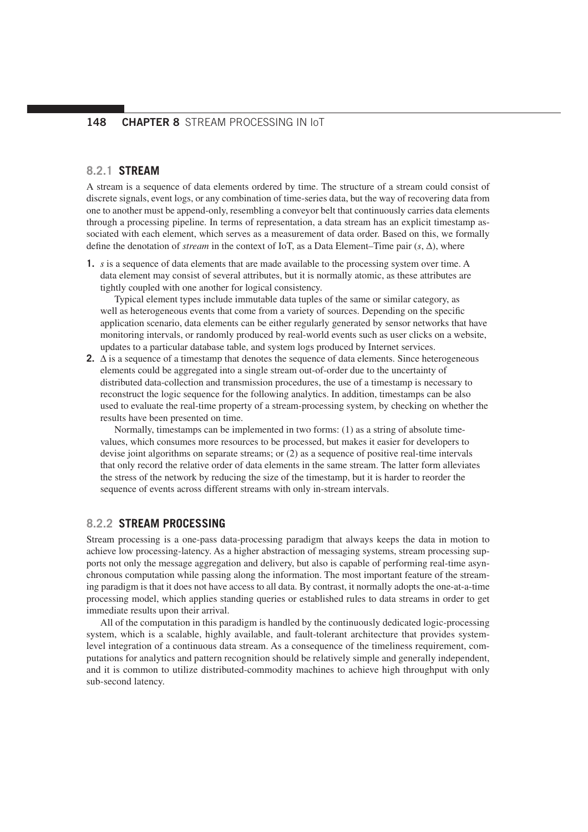#### 8.2.1 STREAM

A stream is a sequence of data elements ordered by time. The structure of a stream could consist of discrete signals, event logs, or any combination of time-series data, but the way of recovering data from one to another must be append-only, resembling a conveyor belt that continuously carries data elements through a processing pipeline. In terms of representation, a data stream has an explicit timestamp associated with each element, which serves as a measurement of data order. Based on this, we formally define the denotation of *stream* in the context of IoT, as a Data Element–Time pair  $(s, \Delta)$ , where

1. *s* is a sequence of data elements that are made available to the processing system over time. A data element may consist of several attributes, but it is normally atomic, as these attributes are tightly coupled with one another for logical consistency.

Typical element types include immutable data tuples of the same or similar category, as well as heterogeneous events that come from a variety of sources. Depending on the specific application scenario, data elements can be either regularly generated by sensor networks that have monitoring intervals, or randomly produced by real-world events such as user clicks on a website, updates to a particular database table, and system logs produced by Internet services.

**2.** A is a sequence of a timestamp that denotes the sequence of data elements. Since heterogeneous elements could be aggregated into a single stream out-of-order due to the uncertainty of distributed data-collection and transmission procedures, the use of a timestamp is necessary to reconstruct the logic sequence for the following analytics. In addition, timestamps can be also used to evaluate the real-time property of a stream-processing system, by checking on whether the results have been presented on time.

Normally, timestamps can be implemented in two forms: (1) as a string of absolute timevalues, which consumes more resources to be processed, but makes it easier for developers to devise joint algorithms on separate streams; or  $(2)$  as a sequence of positive real-time intervals that only record the relative order of data elements in the same stream. The latter form alleviates the stress of the network by reducing the size of the timestamp, but it is harder to reorder the sequence of events across different streams with only in-stream intervals.

### 8.2.2 STREAM PROCESSING

Stream processing is a one-pass data-processing paradigm that always keeps the data in motion to achieve low processing-latency. As a higher abstraction of messaging systems, stream processing supports not only the message aggregation and delivery, but also is capable of performing real-time asynchronous computation while passing along the information. The most important feature of the streaming paradigm is that it does not have access to all data. By contrast, it normally adopts the one-at-a-time processing model, which applies standing queries or established rules to data streams in order to get immediate results upon their arrival.

All of the computation in this paradigm is handled by the continuously dedicated logic-processing system, which is a scalable, highly available, and fault-tolerant architecture that provides systemlevel integration of a continuous data stream. As a consequence of the timeliness requirement, computations for analytics and pattern recognition should be relatively simple and generally independent, and it is common to utilize distributed-commodity machines to achieve high throughput with only sub-second latency.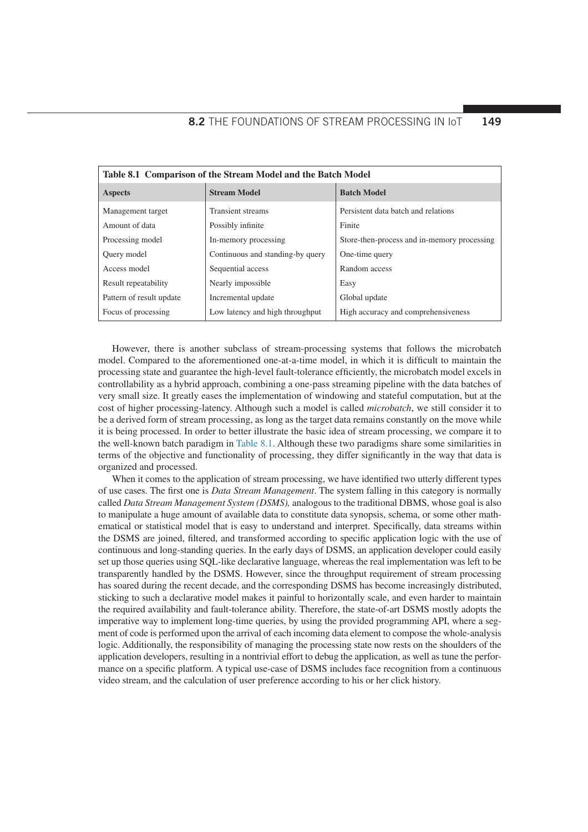|                          | Table 8.1 Comparison of the Stream Model and the Batch Model |                                             |
|--------------------------|--------------------------------------------------------------|---------------------------------------------|
| <b>Aspects</b>           | <b>Stream Model</b>                                          | <b>Batch Model</b>                          |
| Management target        | Transient streams                                            | Persistent data batch and relations         |
| Amount of data           | Possibly infinite                                            | Finite                                      |
| Processing model         | In-memory processing                                         | Store-then-process and in-memory processing |
| Query model              | Continuous and standing-by query                             | One-time query                              |
| Access model             | Sequential access                                            | Random access                               |
| Result repeatability     | Nearly impossible.                                           | Easy                                        |
| Pattern of result update | Incremental update                                           | Global update                               |
| Focus of processing      | Low latency and high throughput                              | High accuracy and comprehensiveness         |

However, there is another subclass of stream-processing systems that follows the microbatch model. Compared to the aforementioned one-at-a-time model, in which it is difficult to maintain the processing state and guarantee the high-level fault-tolerance efficiently, the microbatch model excels in controllability as a hybrid approach, combining a one-pass streaming pipeline with the data batches of very small size. It greatly eases the implementation of windowing and stateful computation, but at the cost of higher processing-latency. Although such a model is called *microbatch*, we still consider it to be a derived form of stream processing, as long as the target data remains constantly on the move while it is being processed. In order to better illustrate the basic idea of stream processing, we compare it to the well-known batch paradigm in Table 8.1. Although these two paradigms share some similarities in terms of the objective and functionality of processing, they differ significantly in the way that data is organized and processed.

When it comes to the application of stream processing, we have identified two utterly different types of use cases. The first one is *Data Stream Management*. The system falling in this category is normally called *Data Stream Management System (DSMS)*, analogous to the traditional DBMS, whose goal is also to manipulate a huge amount of available data to constitute data synopsis, schema, or some other mathematical or statistical model that is easy to understand and interpret. Specifically, data streams within the DSMS are joined, filtered, and transformed according to specific application logic with the use of continuous and long-standing queries. In the early days of DSMS, an application developer could easily set up those queries using SQL-like declarative language, whereas the real implementation was left to be transparently handled by the DSMS. However, since the throughput requirement of stream processing has soared during the recent decade, and the corresponding DSMS has become increasingly distributed, sticking to such a declarative model makes it painful to horizontally scale, and even harder to maintain the required availability and fault-tolerance ability. Therefore, the state-of-art DSMS mostly adopts the imperative way to implement long-time queries, by using the provided programming API, where a segment of code is performed upon the arrival of each incoming data element to compose the whole-analysis logic. Additionally, the responsibility of managing the processing state now rests on the shoulders of the application developers, resulting in a nontrivial effort to debug the application, as well as tune the performance on a specific platform. A typical use-case of DSMS includes face recognition from a continuous video stream, and the calculation of user preference according to his or her click history.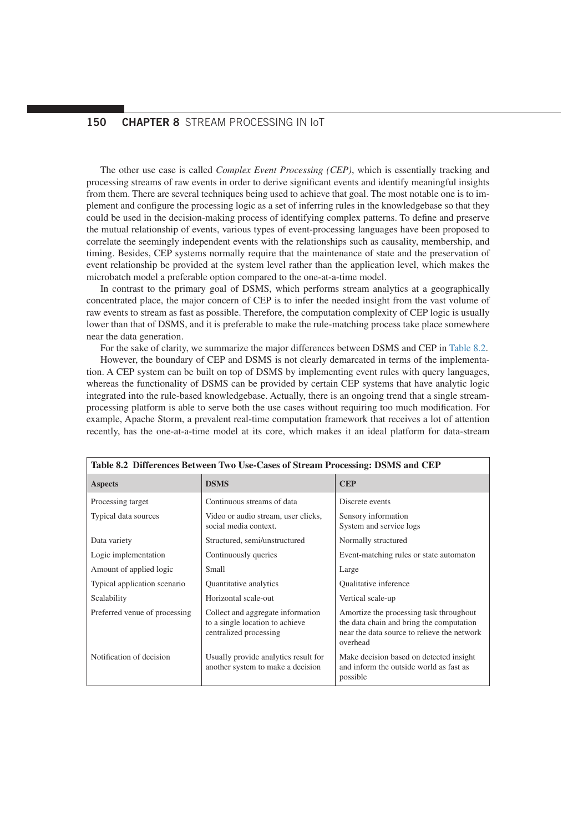The other use case is called *Complex Event Processing (CEP)*, which is essentially tracking and processing streams of raw events in order to derive significant events and identify meaningful insights from them. There are several techniques being used to achieve that goal. The most notable one is to implement and configure the processing logic as a set of inferring rules in the knowledgebase so that they could be used in the decision-making process of identifying complex patterns. To define and preserve the mutual relationship of events, various types of event-processing languages have been proposed to correlate the seemingly independent events with the relationships such as causality, membership, and timing. Besides, CEP systems normally require that the maintenance of state and the preservation of event relationship be provided at the system level rather than the application level, which makes the microbatch model a preferable option compared to the one-at-a-time model.

In contrast to the primary goal of DSMS, which performs stream analytics at a geographically concentrated place, the major concern of CEP is to infer the needed insight from the vast volume of raw events to stream as fast as possible. Therefore, the computation complexity of CEP logic is usually lower than that of DSMS, and it is preferable to make the rule-matching process take place somewhere near the data generation.

For the sake of clarity, we summarize the major differences between DSMS and CEP in Table 8.2.

However, the boundary of CEP and DSMS is not clearly demarcated in terms of the implementation. A CEP system can be built on top of DSMS by implementing event rules with query languages, whereas the functionality of DSMS can be provided by certain CEP systems that have analytic logic integrated into the rule-based knowledgebase. Actually, there is an ongoing trend that a single streamprocessing platform is able to serve both the use cases without requiring too much modification. For example. Apache Storm, a prevalent real-time computation framework that receives a lot of attention recently, has the one-at-a-time model at its core, which makes it an ideal platform for data-stream

|                               | Table 8.2 Differences Between Two Use-Cases of Stream Processing: DSMS and CEP                 |                                                                                                                                                |
|-------------------------------|------------------------------------------------------------------------------------------------|------------------------------------------------------------------------------------------------------------------------------------------------|
| <b>Aspects</b>                | <b>DSMS</b>                                                                                    | <b>CEP</b>                                                                                                                                     |
| Processing target             | Continuous streams of data                                                                     | Discrete events                                                                                                                                |
| Typical data sources          | Video or audio stream, user clicks,<br>social media context.                                   | Sensory information<br>System and service logs                                                                                                 |
| Data variety                  | Structured, semi/unstructured                                                                  | Normally structured                                                                                                                            |
| Logic implementation          | Continuously queries                                                                           | Event-matching rules or state automaton                                                                                                        |
| Amount of applied logic       | Small                                                                                          | Large                                                                                                                                          |
| Typical application scenario  | Quantitative analytics                                                                         | Qualitative inference                                                                                                                          |
| Scalability                   | Horizontal scale-out                                                                           | Vertical scale-up                                                                                                                              |
| Preferred venue of processing | Collect and aggregate information<br>to a single location to achieve<br>centralized processing | Amortize the processing task throughout<br>the data chain and bring the computation<br>near the data source to relieve the network<br>overhead |
| Notification of decision      | Usually provide analytics result for<br>another system to make a decision                      | Make decision based on detected insight<br>and inform the outside world as fast as<br>possible                                                 |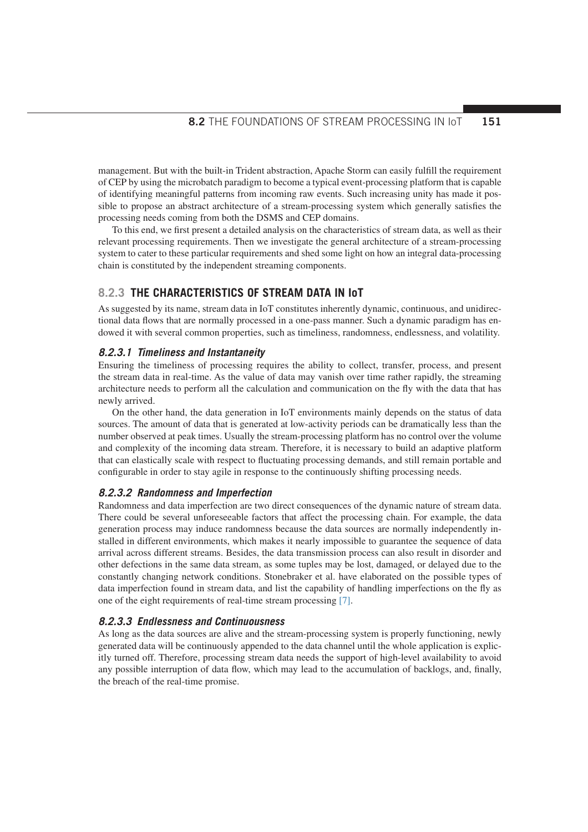management. But with the built-in Trident abstraction, Apache Storm can easily fulfill the requirement of CEP by using the microbatch paradigm to become a typical event-processing platform that is capable of identifying meaningful patterns from incoming raw events. Such increasing unity has made it possible to propose an abstract architecture of a stream-processing system which generally satisfies the processing needs coming from both the DSMS and CEP domains.

To this end, we first present a detailed analysis on the characteristics of stream data, as well as their relevant processing requirements. Then we investigate the general architecture of a stream-processing system to cater to these particular requirements and shed some light on how an integral data-processing chain is constituted by the independent streaming components.

### 8.2.3 THE CHARACTERISTICS OF STREAM DATA IN 10T

As suggested by its name, stream data in IoT constitutes inherently dynamic, continuous, and unidirectional data flows that are normally processed in a one-pass manner. Such a dynamic paradigm has endowed it with several common properties, such as timeliness, randomness, endlessness, and volatility.

#### 8.2.3.1 Timeliness and Instantaneity

Ensuring the timeliness of processing requires the ability to collect, transfer, process, and present the stream data in real-time. As the value of data may vanish over time rather rapidly, the streaming architecture needs to perform all the calculation and communication on the fly with the data that has newly arrived.

On the other hand, the data generation in IoT environments mainly depends on the status of data sources. The amount of data that is generated at low-activity periods can be dramatically less than the number observed at peak times. Usually the stream-processing platform has no control over the volume and complexity of the incoming data stream. Therefore, it is necessary to build an adaptive platform that can elastically scale with respect to fluctuating processing demands, and still remain portable and configurable in order to stay agile in response to the continuously shifting processing needs.

#### 8.2.3.2 Randomness and Imperfection

Randomness and data imperfection are two direct consequences of the dynamic nature of stream data. There could be several unforeseeable factors that affect the processing chain. For example, the data generation process may induce randomness because the data sources are normally independently installed in different environments, which makes it nearly impossible to guarantee the sequence of data arrival across different streams. Besides, the data transmission process can also result in disorder and other defections in the same data stream, as some tuples may be lost, damaged, or delayed due to the constantly changing network conditions. Stonebraker et al. have elaborated on the possible types of data imperfection found in stream data, and list the capability of handling imperfections on the fly as one of the eight requirements of real-time stream processing [7].

#### 8.2.3.3 Endlessness and Continuousness

As long as the data sources are alive and the stream-processing system is properly functioning, newly generated data will be continuously appended to the data channel until the whole application is explicitly turned off. Therefore, processing stream data needs the support of high-level availability to avoid any possible interruption of data flow, which may lead to the accumulation of backlogs, and, finally, the breach of the real-time promise.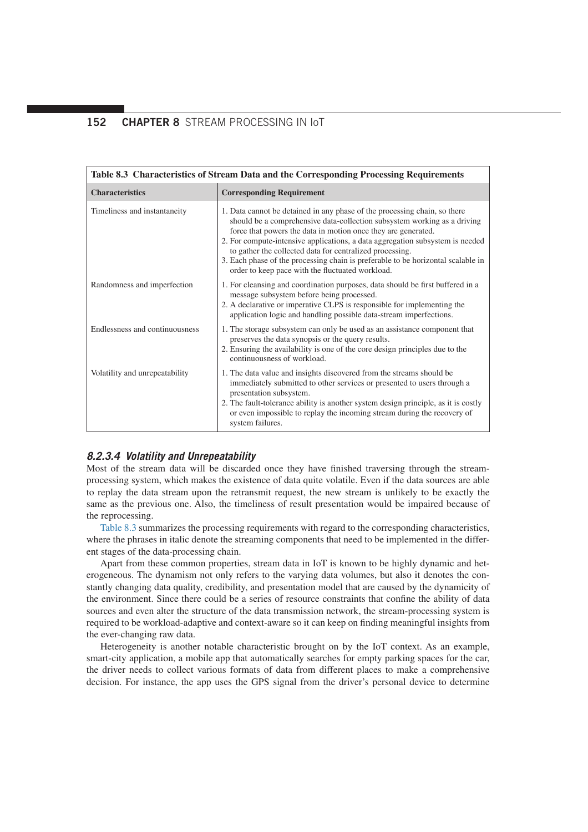|                                | Table 8.3 Characteristics of Stream Data and the Corresponding Processing Requirements                                                                                                                                                                                                                                                                                                                                                                                                                      |
|--------------------------------|-------------------------------------------------------------------------------------------------------------------------------------------------------------------------------------------------------------------------------------------------------------------------------------------------------------------------------------------------------------------------------------------------------------------------------------------------------------------------------------------------------------|
| <b>Characteristics</b>         | <b>Corresponding Requirement</b>                                                                                                                                                                                                                                                                                                                                                                                                                                                                            |
| Timeliness and instantaneity   | 1. Data cannot be detained in any phase of the processing chain, so there<br>should be a comprehensive data-collection subsystem working as a driving<br>force that powers the data in motion once they are generated.<br>2. For compute-intensive applications, a data aggregation subsystem is needed<br>to gather the collected data for centralized processing.<br>3. Each phase of the processing chain is preferable to be horizontal scalable in<br>order to keep pace with the fluctuated workload. |
| Randomness and imperfection    | 1. For cleansing and coordination purposes, data should be first buffered in a<br>message subsystem before being processed.<br>2. A declarative or imperative CLPS is responsible for implementing the<br>application logic and handling possible data-stream imperfections.                                                                                                                                                                                                                                |
| Endlessness and continuousness | 1. The storage subsystem can only be used as an assistance component that<br>preserves the data synopsis or the query results.<br>2. Ensuring the availability is one of the core design principles due to the<br>continuousness of workload.                                                                                                                                                                                                                                                               |
| Volatility and unrepeatability | 1. The data value and insights discovered from the streams should be<br>immediately submitted to other services or presented to users through a<br>presentation subsystem.<br>2. The fault-tolerance ability is another system design principle, as it is costly<br>or even impossible to replay the incoming stream during the recovery of<br>system failures.                                                                                                                                             |

### 8.2.3.4 Volatility and Unrepeatability

Most of the stream data will be discarded once they have finished traversing through the streamprocessing system, which makes the existence of data quite volatile. Even if the data sources are able to replay the data stream upon the retransmit request, the new stream is unlikely to be exactly the same as the previous one. Also, the timeliness of result presentation would be impaired because of the reprocessing.

Table 8.3 summarizes the processing requirements with regard to the corresponding characteristics, where the phrases in italic denote the streaming components that need to be implemented in the different stages of the data-processing chain.

Apart from these common properties, stream data in IoT is known to be highly dynamic and heterogeneous. The dynamism not only refers to the varying data volumes, but also it denotes the constantly changing data quality, credibility, and presentation model that are caused by the dynamicity of the environment. Since there could be a series of resource constraints that confine the ability of data sources and even alter the structure of the data transmission network, the stream-processing system is required to be workload-adaptive and context-aware so it can keep on finding meaningful insights from the ever-changing raw data.

Heterogeneity is another notable characteristic brought on by the IoT context. As an example, smart-city application, a mobile app that automatically searches for empty parking spaces for the car, the driver needs to collect various formats of data from different places to make a comprehensive decision. For instance, the app uses the GPS signal from the driver's personal device to determine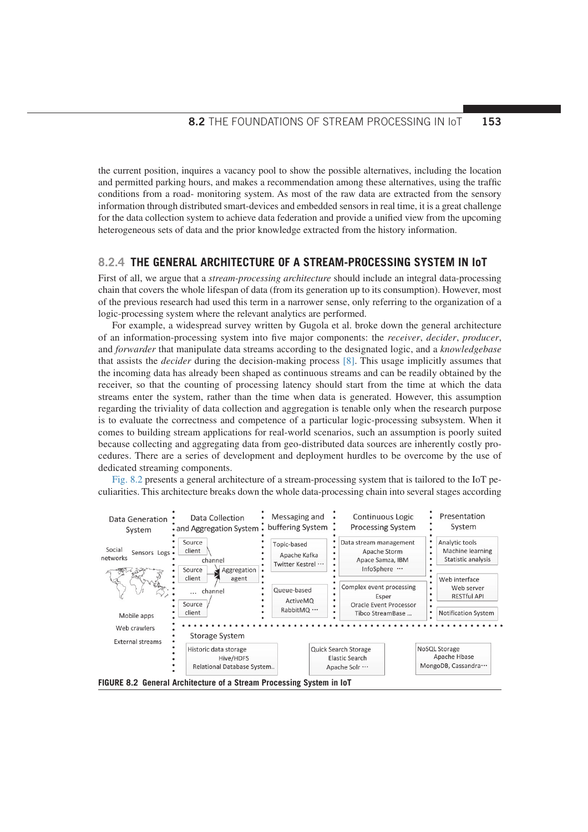the current position, inquires a vacancy pool to show the possible alternatives, including the location and permitted parking hours, and makes a recommendation among these alternatives, using the traffic conditions from a road- monitoring system. As most of the raw data are extracted from the sensory information through distributed smart-devices and embedded sensors in real time, it is a great challenge for the data collection system to achieve data federation and provide a unified view from the upcoming heterogeneous sets of data and the prior knowledge extracted from the history information.

#### **8.2.4 THE GENERAL ARCHITECTURE OF A STREAM-PROCESSING SYSTEM IN IoT**

First of all, we argue that a *stream-processing architecture* should include an integral data-processing chain that covers the whole lifespan of data (from its generation up to its consumption). However, most of the previous research had used this term in a narrower sense, only referring to the organization of a logic-processing system where the relevant analytics are performed.

For example, a widespread survey written by Gugola et al. broke down the general architecture of an information-processing system into five major components: the *receiver*, *decider*, *producer*, and *forwarder* that manipulate data streams according to the designated logic, and a *knowledgebase* that assists the *decider* during the decision-making process [8]. This usage implicitly assumes that the incoming data has already been shaped as continuous streams and can be readily obtained by the receiver, so that the counting of processing latency should start from the time at which the data streams enter the system, rather than the time when data is generated. However, this assumption regarding the triviality of data collection and aggregation is tenable only when the research purpose is to evaluate the correctness and competence of a particular logic-processing subsystem. When it comes to building stream applications for real-world scenarios, such an assumption is poorly suited because collecting and aggregating data from geo-distributed data sources are inherently costly procedures. There are a series of development and deployment hurdles to be overcome by the use of dedicated streaming components.

Fig. 8.2 presents a general architecture of a stream-processing system that is tailored to the IoT peculiarities. This architecture breaks down the whole data-processing chain into several stages according

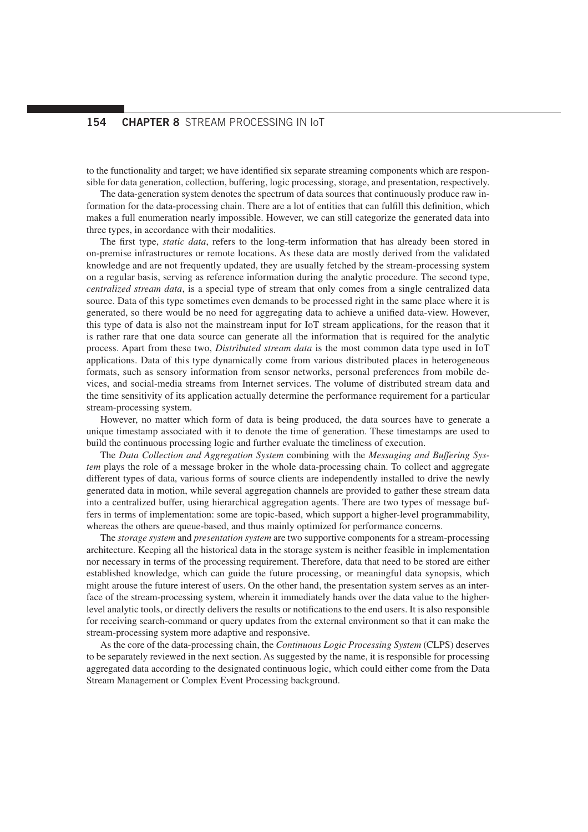to the functionality and target; we have identified six separate streaming components which are responsible for data generation, collection, buffering, logic processing, storage, and presentation, respectively.

The data-generation system denotes the spectrum of data sources that continuously produce raw information for the data-processing chain. There are a lot of entities that can fulfill this definition, which makes a full enumeration nearly impossible. However, we can still categorize the generated data into three types, in accordance with their modalities.

The first type, *static data*, refers to the long-term information that has already been stored in on-premise infrastructures or remote locations. As these data are mostly derived from the validated knowledge and are not frequently updated, they are usually fetched by the stream-processing system on a regular basis, serving as reference information during the analytic procedure. The second type, centralized stream data, is a special type of stream that only comes from a single centralized data source. Data of this type sometimes even demands to be processed right in the same place where it is generated, so there would be no need for aggregating data to achieve a unified data-view. However, this type of data is also not the mainstream input for IoT stream applications, for the reason that it is rather rare that one data source can generate all the information that is required for the analytic process. Apart from these two, *Distributed stream data* is the most common data type used in IoT applications. Data of this type dynamically come from various distributed places in heterogeneous formats, such as sensory information from sensor networks, personal preferences from mobile devices, and social-media streams from Internet services. The volume of distributed stream data and the time sensitivity of its application actually determine the performance requirement for a particular stream-processing system.

However, no matter which form of data is being produced, the data sources have to generate a unique timestamp associated with it to denote the time of generation. These timestamps are used to build the continuous processing logic and further evaluate the timeliness of execution.

The Data Collection and Aggregation System combining with the Messaging and Buffering System plays the role of a message broker in the whole data-processing chain. To collect and aggregate different types of data, various forms of source clients are independently installed to drive the newly generated data in motion, while several aggregation channels are provided to gather these stream data into a centralized buffer, using hierarchical aggregation agents. There are two types of message buffers in terms of implementation: some are topic-based, which support a higher-level programmability, whereas the others are queue-based, and thus mainly optimized for performance concerns.

The *storage system* and *presentation system* are two supportive components for a stream-processing architecture. Keeping all the historical data in the storage system is neither feasible in implementation nor necessary in terms of the processing requirement. Therefore, data that need to be stored are either established knowledge, which can guide the future processing, or meaningful data synopsis, which might arouse the future interest of users. On the other hand, the presentation system serves as an interface of the stream-processing system, wherein it immediately hands over the data value to the higherlevel analytic tools, or directly delivers the results or notifications to the end users. It is also responsible for receiving search-command or query updates from the external environment so that it can make the stream-processing system more adaptive and responsive.

As the core of the data-processing chain, the *Continuous Logic Processing System* (CLPS) deserves to be separately reviewed in the next section. As suggested by the name, it is responsible for processing aggregated data according to the designated continuous logic, which could either come from the Data Stream Management or Complex Event Processing background.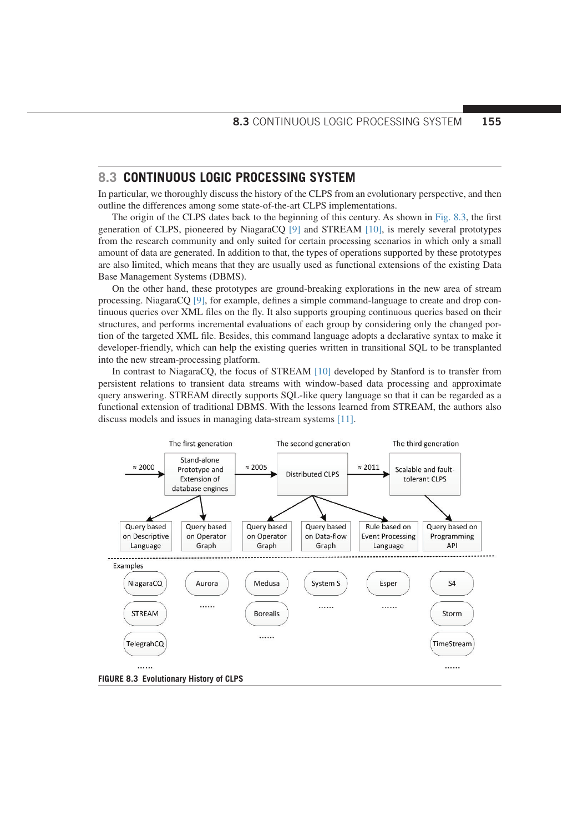### **8.3 CONTINUOUS LOGIC PROCESSING SYSTEM**

In particular, we thoroughly discuss the history of the CLPS from an evolutionary perspective, and then outline the differences among some state-of-the-art CLPS implementations.

The origin of the CLPS dates back to the beginning of this century. As shown in Fig. 8.3, the first generation of CLPS, pioneered by NiagaraCQ [9] and STREAM [10], is merely several prototypes from the research community and only suited for certain processing scenarios in which only a small amount of data are generated. In addition to that, the types of operations supported by these prototypes are also limited, which means that they are usually used as functional extensions of the existing Data Base Management Systems (DBMS).

On the other hand, these prototypes are ground-breaking explorations in the new area of stream processing. NiagaraCQ [9], for example, defines a simple command-language to create and drop continuous queries over XML files on the fly. It also supports grouping continuous queries based on their structures, and performs incremental evaluations of each group by considering only the changed portion of the targeted XML file. Besides, this command language adopts a declarative syntax to make it developer-friendly, which can help the existing queries written in transitional SQL to be transplanted into the new stream-processing platform.

In contrast to NiagaraCO, the focus of STREAM [10] developed by Stanford is to transfer from persistent relations to transient data streams with window-based data processing and approximate query answering. STREAM directly supports SOL-like query language so that it can be regarded as a functional extension of traditional DBMS. With the lessons learned from STREAM, the authors also discuss models and issues in managing data-stream systems [11].

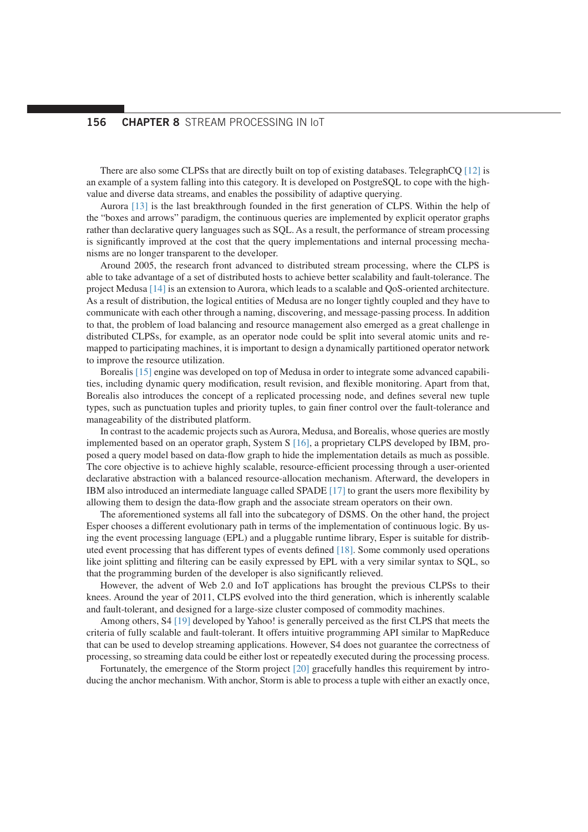There are also some CLPSs that are directly built on top of existing databases. TelegraphCQ [12] is an example of a system falling into this category. It is developed on PostgreSQL to cope with the highvalue and diverse data streams, and enables the possibility of adaptive querying.

Aurora [13] is the last breakthrough founded in the first generation of CLPS. Within the help of the "boxes and arrows" paradigm, the continuous queries are implemented by explicit operator graphs rather than declarative query languages such as SQL. As a result, the performance of stream processing is significantly improved at the cost that the query implementations and internal processing mechanisms are no longer transparent to the developer.

Around 2005, the research front advanced to distributed stream processing, where the CLPS is able to take advantage of a set of distributed hosts to achieve better scalability and fault-tolerance. The project Medusa [14] is an extension to Aurora, which leads to a scalable and OoS-oriented architecture. As a result of distribution, the logical entities of Medusa are no longer tightly coupled and they have to communicate with each other through a naming, discovering, and message-passing process. In addition to that, the problem of load balancing and resource management also emerged as a great challenge in distributed CLPSs, for example, as an operator node could be split into several atomic units and remapped to participating machines, it is important to design a dynamically partitioned operator network to improve the resource utilization.

Borealis [15] engine was developed on top of Medusa in order to integrate some advanced capabilities, including dynamic query modification, result revision, and flexible monitoring. Apart from that, Borealis also introduces the concept of a replicated processing node, and defines several new tuple types, such as punctuation tuples and priority tuples, to gain finer control over the fault-tolerance and manageability of the distributed platform.

In contrast to the academic projects such as Aurora, Medusa, and Borealis, whose queries are mostly implemented based on an operator graph, System S [16], a proprietary CLPS developed by IBM, proposed a query model based on data-flow graph to hide the implementation details as much as possible. The core objective is to achieve highly scalable, resource-efficient processing through a user-oriented declarative abstraction with a balanced resource-allocation mechanism. Afterward, the developers in IBM also introduced an intermediate language called SPADE [17] to grant the users more flexibility by allowing them to design the data-flow graph and the associate stream operators on their own.

The aforementioned systems all fall into the subcategory of DSMS. On the other hand, the project Esper chooses a different evolutionary path in terms of the implementation of continuous logic. By using the event processing language (EPL) and a pluggable runtime library, Esper is suitable for distributed event processing that has different types of events defined [18]. Some commonly used operations like joint splitting and filtering can be easily expressed by EPL with a very similar syntax to SQL, so that the programming burden of the developer is also significantly relieved.

However, the advent of Web 2.0 and IoT applications has brought the previous CLPSs to their knees. Around the year of 2011, CLPS evolved into the third generation, which is inherently scalable and fault-tolerant, and designed for a large-size cluster composed of commodity machines.

Among others, S4 [19] developed by Yahoo! is generally perceived as the first CLPS that meets the criteria of fully scalable and fault-tolerant. It offers intuitive programming API similar to MapReduce that can be used to develop streaming applications. However, S4 does not guarantee the correctness of processing, so streaming data could be either lost or repeatedly executed during the processing process.

Fortunately, the emergence of the Storm project [20] gracefully handles this requirement by introducing the anchor mechanism. With anchor, Storm is able to process a tuple with either an exactly once,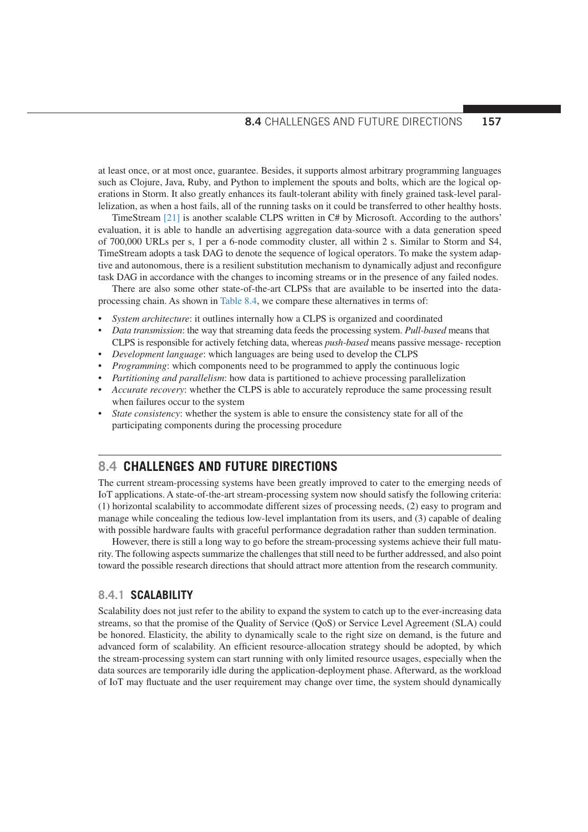at least once, or at most once, guarantee. Besides, it supports almost arbitrary programming languages such as Clojure, Java, Ruby, and Python to implement the spouts and bolts, which are the logical operations in Storm. It also greatly enhances its fault-tolerant ability with finely grained task-level parallelization, as when a host fails, all of the running tasks on it could be transferred to other healthy hosts.

TimeStream [21] is another scalable CLPS written in  $C#$  by Microsoft. According to the authors' evaluation, it is able to handle an advertising aggregation data-source with a data generation speed of 700,000 URLs per s, 1 per a 6-node commodity cluster, all within 2 s. Similar to Storm and S4. TimeStream adopts a task DAG to denote the sequence of logical operators. To make the system adaptive and autonomous, there is a resilient substitution mechanism to dynamically adjust and reconfigure task DAG in accordance with the changes to incoming streams or in the presence of any failed nodes.

There are also some other state-of-the-art CLPSs that are available to be inserted into the dataprocessing chain. As shown in Table 8.4, we compare these alternatives in terms of:

- System architecture: it outlines internally how a CLPS is organized and coordinated
- Data transmission: the way that streaming data feeds the processing system. Pull-based means that CLPS is responsible for actively fetching data, whereas *push-based* means passive message- reception
- Development language: which languages are being used to develop the CLPS
- *Programming:* which components need to be programmed to apply the continuous logic
- Partitioning and parallelism: how data is partitioned to achieve processing parallelization
- Accurate recovery: whether the CLPS is able to accurately reproduce the same processing result when failures occur to the system
- State consistency: whether the system is able to ensure the consistency state for all of the participating components during the processing procedure

### **8.4 CHALLENGES AND FUTURE DIRECTIONS**

The current stream-processing systems have been greatly improved to cater to the emerging needs of IoT applications. A state-of-the-art stream-processing system now should satisfy the following criteria: (1) horizontal scalability to accommodate different sizes of processing needs, (2) easy to program and manage while concealing the tedious low-level implantation from its users, and (3) capable of dealing with possible hardware faults with graceful performance degradation rather than sudden termination.

However, there is still a long way to go before the stream-processing systems achieve their full maturity. The following aspects summarize the challenges that still need to be further addressed, and also point toward the possible research directions that should attract more attention from the research community.

#### 8.4.1 SCALABILITY

Scalability does not just refer to the ability to expand the system to catch up to the ever-increasing data streams, so that the promise of the Quality of Service (OoS) or Service Level Agreement (SLA) could be honored. Elasticity, the ability to dynamically scale to the right size on demand, is the future and advanced form of scalability. An efficient resource-allocation strategy should be adopted, by which the stream-processing system can start running with only limited resource usages, especially when the data sources are temporarily idle during the application-deployment phase. Afterward, as the workload of IoT may fluctuate and the user requirement may change over time, the system should dynamically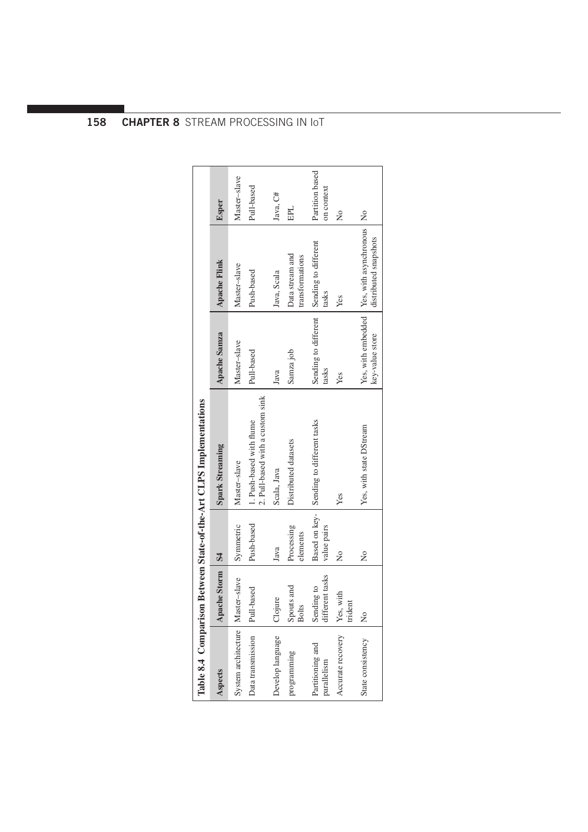|                                    |                               |                        | Table 8.4 Comparison Between State-of-the-Art CLPS Implementations |                                                    |                                                                           |                               |
|------------------------------------|-------------------------------|------------------------|--------------------------------------------------------------------|----------------------------------------------------|---------------------------------------------------------------------------|-------------------------------|
| Aspects                            | <b>Apache Storm</b>           | $\mathbf{r}$           | <b>Spark Streaming</b>                                             | Apache Samza                                       | <b>Apache Flink</b>                                                       | <b>Esper</b>                  |
| System architecture   Master-slave |                               | Symmetric              | Master-slave                                                       | Master-slave                                       | Master-slave                                                              | Master-slave                  |
| Data transmission                  | Pull-based                    | Push-based             | 2. Pull-based with a custom sink<br>1. Push-based with flume       | Pull-based                                         | Push-based                                                                | Pull-based                    |
| Develop language                   | Clojure                       | Java                   | Scala, Java                                                        | Java                                               | Java, Scala                                                               | Java, C#                      |
| programming                        | Spouts and<br><b>Bolts</b>    | Processing<br>elements | Distributed datasets                                               | Samza job                                          | Data stream and<br>transformations                                        | EPL                           |
| Partitioning and<br>parallelism    | different tasks<br>Sending to | value pairs            | Based on key- Sending to different tasks                           | Sending to different Sending to different<br>tasks | tasks                                                                     | Partition based<br>on context |
| Accurate recovery                  | Yes, with<br>trident          | ż                      | Yes                                                                | Yes                                                | Yes                                                                       | ž                             |
| State consistency                  | $\tilde{z}$                   | ż                      | Yes, with state DStream                                            | key-value store                                    | Yes, with embedded   Yes, with asynchronous   No<br>distributed snapshots |                               |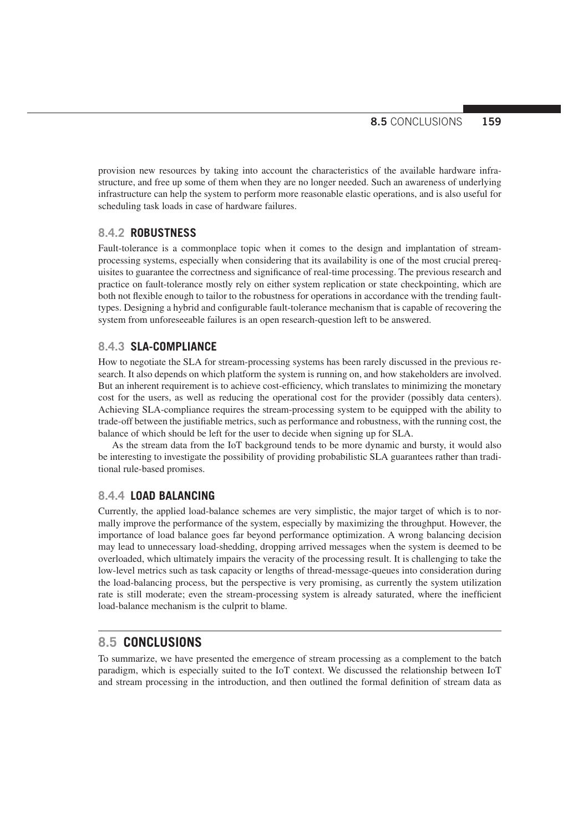provision new resources by taking into account the characteristics of the available hardware infrastructure, and free up some of them when they are no longer needed. Such an awareness of underlying infrastructure can help the system to perform more reasonable elastic operations, and is also useful for scheduling task loads in case of hardware failures.

### **8.4.2 ROBUSTNESS**

Fault-tolerance is a commonplace topic when it comes to the design and implantation of streamprocessing systems, especially when considering that its availability is one of the most crucial prerequisites to guarantee the correctness and significance of real-time processing. The previous research and practice on fault-tolerance mostly rely on either system replication or state checkpointing, which are both not flexible enough to tailor to the robustness for operations in accordance with the trending faulttypes. Designing a hybrid and configurable fault-tolerance mechanism that is capable of recovering the system from unforeseeable failures is an open research-question left to be answered.

#### **8.4.3 SLA-COMPLIANCE**

How to negotiate the SLA for stream-processing systems has been rarely discussed in the previous research. It also depends on which platform the system is running on, and how stakeholders are involved. But an inherent requirement is to achieve cost-efficiency, which translates to minimizing the monetary cost for the users, as well as reducing the operational cost for the provider (possibly data centers). Achieving SLA-compliance requires the stream-processing system to be equipped with the ability to trade-off between the justifiable metrics, such as performance and robustness, with the running cost, the balance of which should be left for the user to decide when signing up for SLA.

As the stream data from the IoT background tends to be more dynamic and bursty, it would also be interesting to investigate the possibility of providing probabilistic SLA guarantees rather than traditional rule-based promises.

#### **8.4.4 LOAD BALANCING**

Currently, the applied load-balance schemes are very simplistic, the major target of which is to normally improve the performance of the system, especially by maximizing the throughput. However, the importance of load balance goes far beyond performance optimization. A wrong balancing decision may lead to unnecessary load-shedding, dropping arrived messages when the system is deemed to be overloaded, which ultimately impairs the veracity of the processing result. It is challenging to take the low-level metrics such as task capacity or lengths of thread-message-queues into consideration during the load-balancing process, but the perspective is very promising, as currently the system utilization rate is still moderate; even the stream-processing system is already saturated, where the inefficient load-balance mechanism is the culprit to blame.

### **8.5 CONCLUSIONS**

To summarize, we have presented the emergence of stream processing as a complement to the batch paradigm, which is especially suited to the IoT context. We discussed the relationship between IoT and stream processing in the introduction, and then outlined the formal definition of stream data as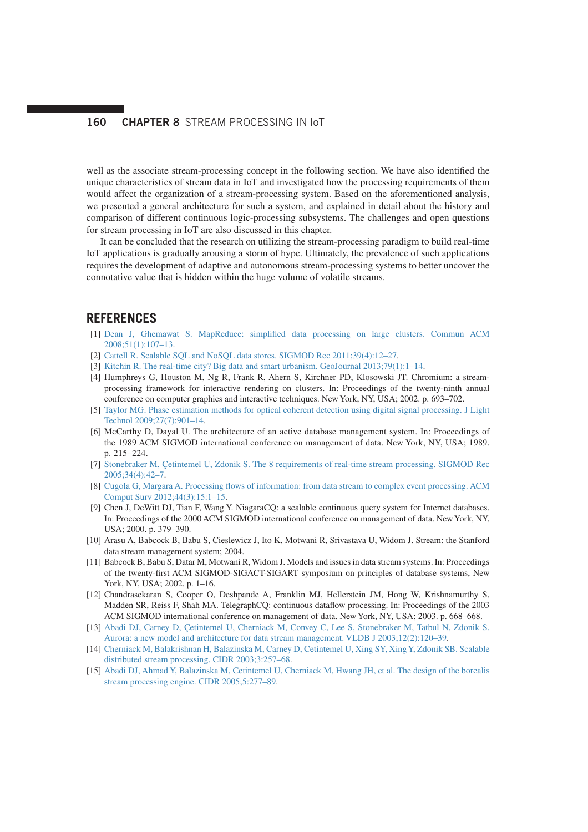well as the associate stream-processing concept in the following section. We have also identified the unique characteristics of stream data in IoT and investigated how the processing requirements of them would affect the organization of a stream-processing system. Based on the aforementioned analysis, we presented a general architecture for such a system, and explained in detail about the history and comparison of different continuous logic-processing subsystems. The challenges and open questions for stream processing in IoT are also discussed in this chapter.

It can be concluded that the research on utilizing the stream-processing paradigm to build real-time IoT applications is gradually arousing a storm of hype. Ultimately, the prevalence of such applications requires the development of adaptive and autonomous stream-processing systems to better uncover the connotative value that is hidden within the huge volume of volatile streams.

#### **REFERENCES**

- [1] Dean J, Ghemawat S. MapReduce: simplified data processing on large clusters. Commun ACM  $2008:51(1):107-13.$
- [2] Cattell R. Scalable SOL and NoSOL data stores. SIGMOD Rec 2011;39(4):12-27.
- [3] Kitchin R. The real-time city? Big data and smart urbanism. GeoJournal 2013;79(1):1–14.
- [4] Humphreys G, Houston M, Ng R, Frank R, Ahern S, Kirchner PD, Klosowski JT. Chromium: a streamprocessing framework for interactive rendering on clusters. In: Proceedings of the twenty-ninth annual conference on computer graphics and interactive techniques. New York, NY, USA; 2002. p. 693–702.
- [5] Taylor MG. Phase estimation methods for optical coherent detection using digital signal processing. J Light Technol 2009;27(7):901-14.
- [6] McCarthy D, Dayal U. The architecture of an active database management system. In: Proceedings of the 1989 ACM SIGMOD international conference on management of data. New York, NY, USA; 1989. p. 215-224.
- [7] Stonebraker M, Çetintemel U, Zdonik S. The 8 requirements of real-time stream processing. SIGMOD Rec 2005;34(4):42-7.
- [8] Cugola G, Margara A. Processing flows of information: from data stream to complex event processing. ACM Comput Surv 2012;44(3):15:1-15.
- [9] Chen J, DeWitt DJ, Tian F, Wang Y. NiagaraCO: a scalable continuous query system for Internet databases. In: Proceedings of the 2000 ACM SIGMOD international conference on management of data. New York, NY, USA; 2000. p. 379-390.
- [10] Arasu A, Babcock B, Babu S, Cieslewicz J, Ito K, Motwani R, Srivastava U, Widom J. Stream: the Stanford data stream management system; 2004.
- [11] Babcock B, Babu S, Datar M, Motwani R, Widom J. Models and issues in data stream systems. In: Proceedings of the twenty-first ACM SIGMOD-SIGACT-SIGART symposium on principles of database systems, New York, NY, USA; 2002. p. 1-16.
- [12] Chandrasekaran S, Cooper O, Deshpande A, Franklin MJ, Hellerstein JM, Hong W, Krishnamurthy S, Madden SR, Reiss F, Shah MA. TelegraphCQ: continuous dataflow processing. In: Proceedings of the 2003 ACM SIGMOD international conference on management of data. New York, NY, USA; 2003. p. 668–668.
- [13] Abadi DJ, Carney D, Çetintemel U, Cherniack M, Convey C, Lee S, Stonebraker M, Tatbul N, Zdonik S. Aurora: a new model and architecture for data stream management. VLDB J 2003;12(2):120–39.
- [14] Cherniack M, Balakrishnan H, Balazinska M, Carney D, Cetintemel U, Xing SY, Xing Y, Zdonik SB. Scalable distributed stream processing. CIDR 2003;3:257-68.
- [15] Abadi DJ, Ahmad Y, Balazinska M, Cetintemel U, Cherniack M, Hwang JH, et al. The design of the borealis stream processing engine. CIDR 2005;5:277-89.